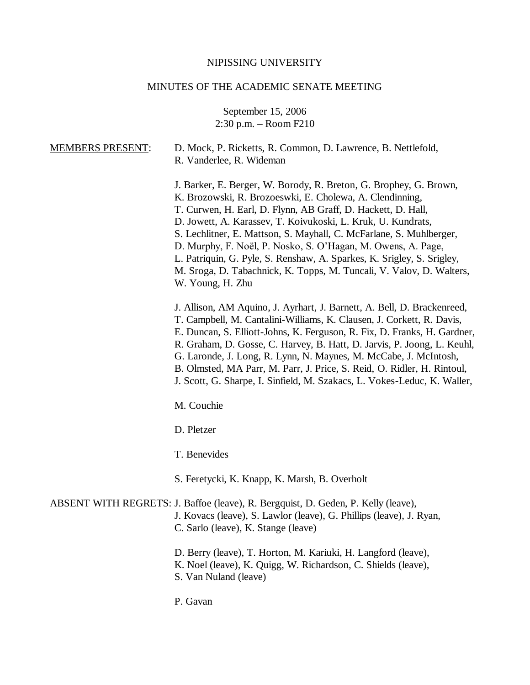#### NIPISSING UNIVERSITY

#### MINUTES OF THE ACADEMIC SENATE MEETING

September 15, 2006 2:30 p.m. – Room F210

# MEMBERS PRESENT: D. Mock, P. Ricketts, R. Common, D. Lawrence, B. Nettlefold, R. Vanderlee, R. Wideman J. Barker, E. Berger, W. Borody, R. Breton, G. Brophey, G. Brown, K. Brozowski, R. Brozoeswki, E. Cholewa, A. Clendinning, T. Curwen, H. Earl, D. Flynn, AB Graff, D. Hackett, D. Hall, D. Jowett, A. Karassev, T. Koivukoski, L. Kruk, U. Kundrats, S. Lechlitner, E. Mattson, S. Mayhall, C. McFarlane, S. Muhlberger, D. Murphy, F. Noël, P. Nosko, S. O'Hagan, M. Owens, A. Page, L. Patriquin, G. Pyle, S. Renshaw, A. Sparkes, K. Srigley, S. Srigley, M. Sroga, D. Tabachnick, K. Topps, M. Tuncali, V. Valov, D. Walters, W. Young, H. Zhu J. Allison, AM Aquino, J. Ayrhart, J. Barnett, A. Bell, D. Brackenreed, T. Campbell, M. Cantalini-Williams, K. Clausen, J. Corkett, R. Davis, E. Duncan, S. Elliott-Johns, K. Ferguson, R. Fix, D. Franks, H. Gardner, R. Graham, D. Gosse, C. Harvey, B. Hatt, D. Jarvis, P. Joong, L. Keuhl, G. Laronde, J. Long, R. Lynn, N. Maynes, M. McCabe, J. McIntosh, B. Olmsted, MA Parr, M. Parr, J. Price, S. Reid, O. Ridler, H. Rintoul, J. Scott, G. Sharpe, I. Sinfield, M. Szakacs, L. Vokes-Leduc, K. Waller, M. Couchie D. Pletzer T. Benevides S. Feretycki, K. Knapp, K. Marsh, B. Overholt ABSENT WITH REGRETS: J. Baffoe (leave), R. Bergquist, D. Geden, P. Kelly (leave), J. Kovacs (leave), S. Lawlor (leave), G. Phillips (leave), J. Ryan, C. Sarlo (leave), K. Stange (leave) D. Berry (leave), T. Horton, M. Kariuki, H. Langford (leave), K. Noel (leave), K. Quigg, W. Richardson, C. Shields (leave), S. Van Nuland (leave)

P. Gavan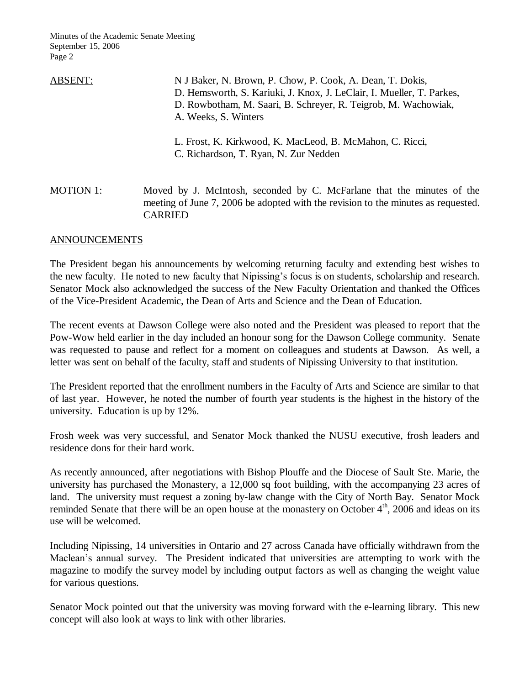| ABSENT:          | N J Baker, N. Brown, P. Chow, P. Cook, A. Dean, T. Dokis,<br>D. Hemsworth, S. Kariuki, J. Knox, J. LeClair, I. Mueller, T. Parkes,<br>D. Rowbotham, M. Saari, B. Schreyer, R. Teigrob, M. Wachowiak,<br>A. Weeks, S. Winters |
|------------------|------------------------------------------------------------------------------------------------------------------------------------------------------------------------------------------------------------------------------|
|                  | L. Frost, K. Kirkwood, K. MacLeod, B. McMahon, C. Ricci,<br>C. Richardson, T. Ryan, N. Zur Nedden                                                                                                                            |
| <b>MOTION 1:</b> | Moved by J. McIntosh, seconded by C. McFarlane that the minutes of the<br>meeting of June 7, 2006 be adopted with the revision to the minutes as requested.                                                                  |

## ANNOUNCEMENTS

CARRIED

The President began his announcements by welcoming returning faculty and extending best wishes to the new faculty. He noted to new faculty that Nipissing's focus is on students, scholarship and research. Senator Mock also acknowledged the success of the New Faculty Orientation and thanked the Offices of the Vice-President Academic, the Dean of Arts and Science and the Dean of Education.

The recent events at Dawson College were also noted and the President was pleased to report that the Pow-Wow held earlier in the day included an honour song for the Dawson College community. Senate was requested to pause and reflect for a moment on colleagues and students at Dawson. As well, a letter was sent on behalf of the faculty, staff and students of Nipissing University to that institution.

The President reported that the enrollment numbers in the Faculty of Arts and Science are similar to that of last year. However, he noted the number of fourth year students is the highest in the history of the university. Education is up by 12%.

Frosh week was very successful, and Senator Mock thanked the NUSU executive, frosh leaders and residence dons for their hard work.

As recently announced, after negotiations with Bishop Plouffe and the Diocese of Sault Ste. Marie, the university has purchased the Monastery, a 12,000 sq foot building, with the accompanying 23 acres of land. The university must request a zoning by-law change with the City of North Bay. Senator Mock reminded Senate that there will be an open house at the monastery on October 4<sup>th</sup>, 2006 and ideas on its use will be welcomed.

Including Nipissing, 14 universities in Ontario and 27 across Canada have officially withdrawn from the Maclean's annual survey. The President indicated that universities are attempting to work with the magazine to modify the survey model by including output factors as well as changing the weight value for various questions.

Senator Mock pointed out that the university was moving forward with the e-learning library. This new concept will also look at ways to link with other libraries.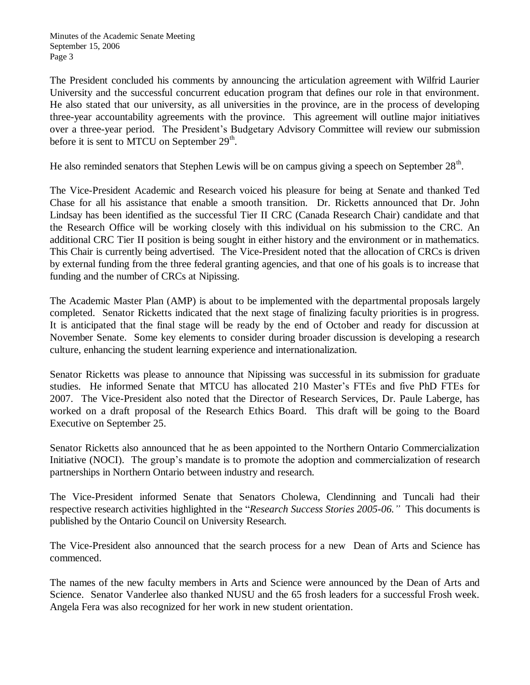The President concluded his comments by announcing the articulation agreement with Wilfrid Laurier University and the successful concurrent education program that defines our role in that environment. He also stated that our university, as all universities in the province, are in the process of developing three-year accountability agreements with the province. This agreement will outline major initiatives over a three-year period. The President's Budgetary Advisory Committee will review our submission before it is sent to MTCU on September  $29<sup>th</sup>$ .

He also reminded senators that Stephen Lewis will be on campus giving a speech on September  $28<sup>th</sup>$ .

The Vice-President Academic and Research voiced his pleasure for being at Senate and thanked Ted Chase for all his assistance that enable a smooth transition. Dr. Ricketts announced that Dr. John Lindsay has been identified as the successful Tier II CRC (Canada Research Chair) candidate and that the Research Office will be working closely with this individual on his submission to the CRC. An additional CRC Tier II position is being sought in either history and the environment or in mathematics. This Chair is currently being advertised. The Vice-President noted that the allocation of CRCs is driven by external funding from the three federal granting agencies, and that one of his goals is to increase that funding and the number of CRCs at Nipissing.

The Academic Master Plan (AMP) is about to be implemented with the departmental proposals largely completed. Senator Ricketts indicated that the next stage of finalizing faculty priorities is in progress. It is anticipated that the final stage will be ready by the end of October and ready for discussion at November Senate. Some key elements to consider during broader discussion is developing a research culture, enhancing the student learning experience and internationalization.

Senator Ricketts was please to announce that Nipissing was successful in its submission for graduate studies. He informed Senate that MTCU has allocated 210 Master's FTEs and five PhD FTEs for 2007. The Vice-President also noted that the Director of Research Services, Dr. Paule Laberge, has worked on a draft proposal of the Research Ethics Board. This draft will be going to the Board Executive on September 25.

Senator Ricketts also announced that he as been appointed to the Northern Ontario Commercialization Initiative (NOCI). The group's mandate is to promote the adoption and commercialization of research partnerships in Northern Ontario between industry and research.

The Vice-President informed Senate that Senators Cholewa, Clendinning and Tuncali had their respective research activities highlighted in the "*Research Success Stories 2005-06."* This documents is published by the Ontario Council on University Research.

The Vice-President also announced that the search process for a new Dean of Arts and Science has commenced.

The names of the new faculty members in Arts and Science were announced by the Dean of Arts and Science. Senator Vanderlee also thanked NUSU and the 65 frosh leaders for a successful Frosh week. Angela Fera was also recognized for her work in new student orientation.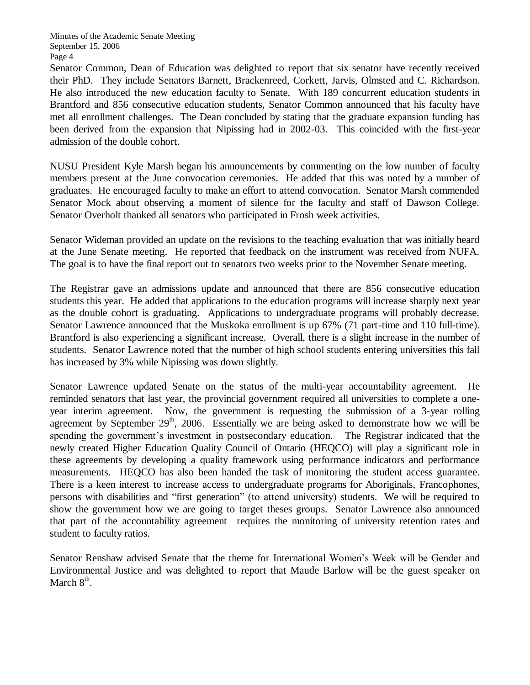Senator Common, Dean of Education was delighted to report that six senator have recently received their PhD. They include Senators Barnett, Brackenreed, Corkett, Jarvis, Olmsted and C. Richardson. He also introduced the new education faculty to Senate. With 189 concurrent education students in Brantford and 856 consecutive education students, Senator Common announced that his faculty have met all enrollment challenges. The Dean concluded by stating that the graduate expansion funding has been derived from the expansion that Nipissing had in 2002-03. This coincided with the first-year admission of the double cohort.

NUSU President Kyle Marsh began his announcements by commenting on the low number of faculty members present at the June convocation ceremonies. He added that this was noted by a number of graduates. He encouraged faculty to make an effort to attend convocation. Senator Marsh commended Senator Mock about observing a moment of silence for the faculty and staff of Dawson College. Senator Overholt thanked all senators who participated in Frosh week activities.

Senator Wideman provided an update on the revisions to the teaching evaluation that was initially heard at the June Senate meeting. He reported that feedback on the instrument was received from NUFA. The goal is to have the final report out to senators two weeks prior to the November Senate meeting.

The Registrar gave an admissions update and announced that there are 856 consecutive education students this year. He added that applications to the education programs will increase sharply next year as the double cohort is graduating. Applications to undergraduate programs will probably decrease. Senator Lawrence announced that the Muskoka enrollment is up 67% (71 part-time and 110 full-time). Brantford is also experiencing a significant increase. Overall, there is a slight increase in the number of students. Senator Lawrence noted that the number of high school students entering universities this fall has increased by 3% while Nipissing was down slightly.

Senator Lawrence updated Senate on the status of the multi-year accountability agreement. He reminded senators that last year, the provincial government required all universities to complete a oneyear interim agreement. Now, the government is requesting the submission of a 3-year rolling agreement by September  $29<sup>th</sup>$ , 2006. Essentially we are being asked to demonstrate how we will be spending the government's investment in postsecondary education. The Registrar indicated that the newly created Higher Education Quality Council of Ontario (HEQCO) will play a significant role in these agreements by developing a quality framework using performance indicators and performance measurements. HEQCO has also been handed the task of monitoring the student access guarantee. There is a keen interest to increase access to undergraduate programs for Aboriginals, Francophones, persons with disabilities and "first generation" (to attend university) students. We will be required to show the government how we are going to target theses groups. Senator Lawrence also announced that part of the accountability agreement requires the monitoring of university retention rates and student to faculty ratios.

Senator Renshaw advised Senate that the theme for International Women's Week will be Gender and Environmental Justice and was delighted to report that Maude Barlow will be the guest speaker on March  $8<sup>th</sup>$ .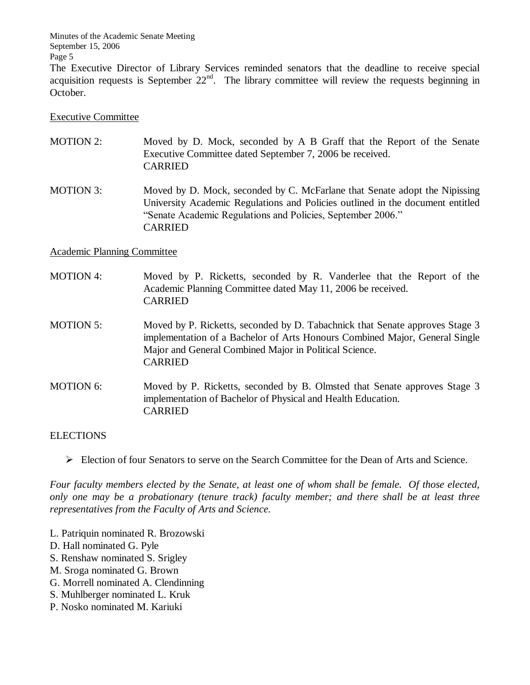The Executive Director of Library Services reminded senators that the deadline to receive special acquisition requests is September  $22<sup>nd</sup>$ . The library committee will review the requests beginning in October.

## Executive Committee

- MOTION 2: Moved by D. Mock, seconded by A B Graff that the Report of the Senate Executive Committee dated September 7, 2006 be received. CARRIED
- MOTION 3: Moved by D. Mock, seconded by C. McFarlane that Senate adopt the Nipissing University Academic Regulations and Policies outlined in the document entitled "Senate Academic Regulations and Policies, September 2006." CARRIED

## Academic Planning Committee

- MOTION 4: Moved by P. Ricketts, seconded by R. Vanderlee that the Report of the Academic Planning Committee dated May 11, 2006 be received. CARRIED
- MOTION 5: Moved by P. Ricketts, seconded by D. Tabachnick that Senate approves Stage 3 implementation of a Bachelor of Arts Honours Combined Major, General Single Major and General Combined Major in Political Science. CARRIED
- MOTION 6: Moved by P. Ricketts, seconded by B. Olmsted that Senate approves Stage 3 implementation of Bachelor of Physical and Health Education. CARRIED

## **ELECTIONS**

 $\triangleright$  Election of four Senators to serve on the Search Committee for the Dean of Arts and Science.

*Four faculty members elected by the Senate, at least one of whom shall be female. Of those elected, only one may be a probationary (tenure track) faculty member; and there shall be at least three representatives from the Faculty of Arts and Science.*

- L. Patriquin nominated R. Brozowski
- D. Hall nominated G. Pyle
- S. Renshaw nominated S. Srigley
- M. Sroga nominated G. Brown
- G. Morrell nominated A. Clendinning
- S. Muhlberger nominated L. Kruk
- P. Nosko nominated M. Kariuki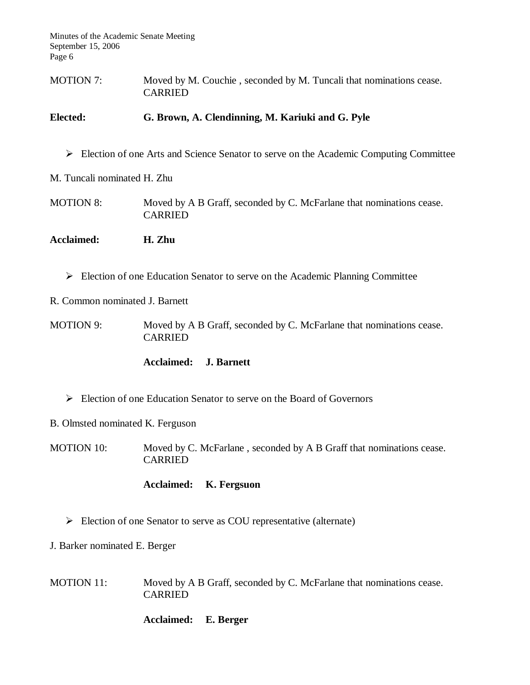| <b>MOTION 7:</b> | Moved by M. Couchie, seconded by M. Tuncali that nominations cease. |
|------------------|---------------------------------------------------------------------|
|                  | CARRIED                                                             |

## **Elected: G. Brown, A. Clendinning, M. Kariuki and G. Pyle**

Election of one Arts and Science Senator to serve on the Academic Computing Committee

M. Tuncali nominated H. Zhu

- MOTION 8: Moved by A B Graff, seconded by C. McFarlane that nominations cease. CARRIED
- **Acclaimed: H. Zhu**
	- Election of one Education Senator to serve on the Academic Planning Committee

R. Common nominated J. Barnett

MOTION 9: Moved by A B Graff, seconded by C. McFarlane that nominations cease. CARRIED

#### **Acclaimed: J. Barnett**

- Election of one Education Senator to serve on the Board of Governors
- B. Olmsted nominated K. Ferguson
- MOTION 10: Moved by C. McFarlane, seconded by A B Graff that nominations cease. CARRIED

## **Acclaimed: K. Fergsuon**

 $\triangleright$  Election of one Senator to serve as COU representative (alternate)

J. Barker nominated E. Berger

MOTION 11: Moved by A B Graff, seconded by C. McFarlane that nominations cease. CARRIED

#### **Acclaimed: E. Berger**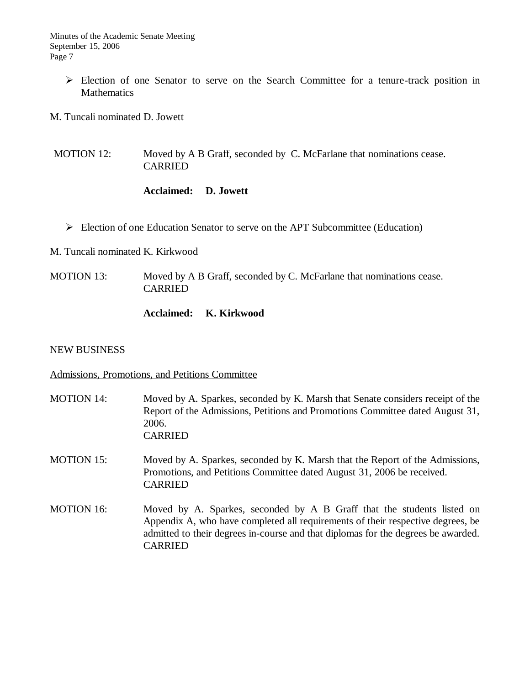- Election of one Senator to serve on the Search Committee for a tenure-track position in **Mathematics**
- M. Tuncali nominated D. Jowett

MOTION 12: Moved by A B Graff, seconded by C. McFarlane that nominations cease. CARRIED

## **Acclaimed: D. Jowett**

Election of one Education Senator to serve on the APT Subcommittee (Education)

M. Tuncali nominated K. Kirkwood

MOTION 13: Moved by A B Graff, seconded by C. McFarlane that nominations cease. CARRIED

## **Acclaimed: K. Kirkwood**

#### NEW BUSINESS

## Admissions, Promotions, and Petitions Committee

| <b>MOTION 14:</b> | Moved by A. Sparkes, seconded by K. Marsh that Senate considers receipt of the<br>Report of the Admissions, Petitions and Promotions Committee dated August 31,<br>2006.<br><b>CARRIED</b>                                                                       |
|-------------------|------------------------------------------------------------------------------------------------------------------------------------------------------------------------------------------------------------------------------------------------------------------|
| <b>MOTION 15:</b> | Moved by A. Sparkes, seconded by K. Marsh that the Report of the Admissions,<br>Promotions, and Petitions Committee dated August 31, 2006 be received.<br><b>CARRIED</b>                                                                                         |
| <b>MOTION 16:</b> | Moved by A. Sparkes, seconded by A B Graff that the students listed on<br>Appendix A, who have completed all requirements of their respective degrees, be<br>admitted to their degrees in-course and that diplomas for the degrees be awarded.<br><b>CARRIED</b> |